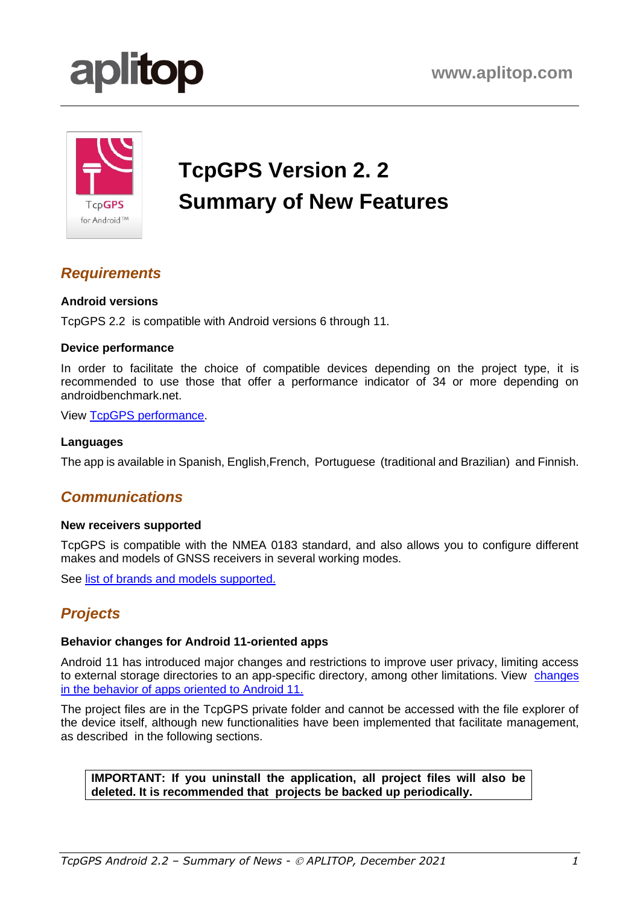

# **TcpGPS Version 2. 2 Summary of New Features**

## *Requirements*

#### **Android versions**

TcpGPS 2.2 is compatible with Android versions 6 through 11.

#### **Device performance**

In order to facilitate the choice of compatible devices depending on the project type, it is recommended to use those that offer a performance indicator of 34 or more depending on androidbenchmark.net.

View TcpGPS [performance.](https://www.aplitop.com/subidas/Products/TcpGPS%20Android/support/en/tcpgps_android_en_v21_001_performance_tests.pdf)

#### **Languages**

The app is available in Spanish, English,French, Portuguese (traditional and Brazilian) and Finnish.

### *Communications*

#### **New receivers supported**

TcpGPS is compatible with the NMEA 0183 standard, and also allows you to configure different makes and models of GNSS receivers in several working modes.

See [list of brands and models supported.](http://www.aplitop.com/subidas/Products/TcpGPS%20Android/support/en/TcpGPS_Android_SupportedGnssReceivers_en.pdf)

## *Projects*

#### **Behavior changes for Android 11-oriented apps**

Android 11 has introduced major changes and restrictions to improve user privacy, limiting access to external storage directories to an app-specific directory, among other limitations. View [changes](https://developer.android.com/about/versions/11/behavior-changes-11)  [in the behavior of apps oriented to Android 11.](https://developer.android.com/about/versions/11/behavior-changes-11)

The project files are in the TcpGPS private folder and cannot be accessed with the file explorer of the device itself, although new functionalities have been implemented that facilitate management, as described in the following sections.

**IMPORTANT: If you uninstall the application, all project files will also be deleted. It is recommended that projects be backed up periodically.**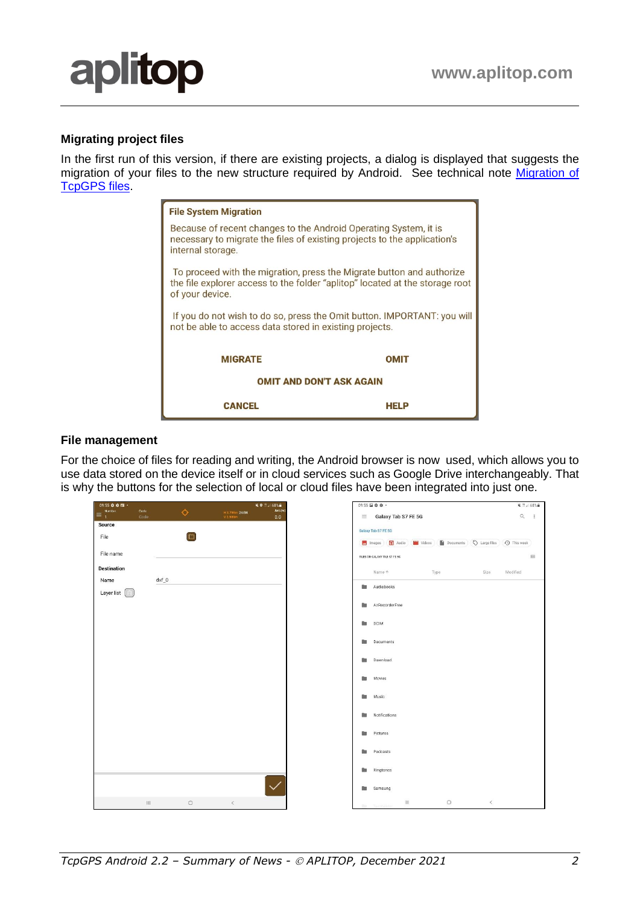#### **Migrating project files**

In the first run of this version, if there are existing projects, a dialog is displayed that suggests the migration of your files to the new structure required by Android. See technical note [Migration of](https://www.aplitop.com/subidas/Products/TcpGPS%20Android/support/en/tcpgps_android_en_v22_001_migration_files.pdf)  [TcpGPS files.](https://www.aplitop.com/subidas/Products/TcpGPS%20Android/support/en/tcpgps_android_en_v22_001_migration_files.pdf)

| <b>File System Migration</b>                                                                                                                                             |             |  |  |  |
|--------------------------------------------------------------------------------------------------------------------------------------------------------------------------|-------------|--|--|--|
| Because of recent changes to the Android Operating System, it is<br>necessary to migrate the files of existing projects to the application's<br>internal storage.        |             |  |  |  |
| To proceed with the migration, press the Migrate button and authorize<br>the file explorer access to the folder "aplitop" located at the storage root<br>of your device. |             |  |  |  |
| If you do not wish to do so, press the Omit button. IMPORTANT: you will<br>not be able to access data stored in existing projects.                                       |             |  |  |  |
| <b>MIGRATE</b>                                                                                                                                                           | <b>OMIT</b> |  |  |  |
| <b>OMIT AND DON'T ASK AGAIN</b>                                                                                                                                          |             |  |  |  |
| <b>CANCEL</b>                                                                                                                                                            | HFI P       |  |  |  |

#### **File management**

For the choice of files for reading and writing, the Android browser is now used, which allows you to use data stored on the device itself or in cloud services such as Google Drive interchangeably. That is why the buttons for the selection of local or cloud files have been integrated into just one.

| $09:55$ $\Phi$ $\Phi$ $\Box$ $\cdot$             |           | <b>NO 25 38 68%前</b>                            |                 | 09:55 国章章·                      |                                                                                     |         | ¥ (1 al 68%m) |
|--------------------------------------------------|-----------|-------------------------------------------------|-----------------|---------------------------------|-------------------------------------------------------------------------------------|---------|---------------|
| Number<br>Code<br>$\equiv$ $\frac{1}{1}$<br>Code | Ò.        | Ant(m)<br>H 3.790m 24/34<br>V 2.500m<br>$0.0\,$ |                 | $\equiv$ Galaxy Tab S7 FE 5G    |                                                                                     |         | $Q$ :         |
| Source                                           |           |                                                 |                 | Galaxy Tab S7 FE 5G             |                                                                                     |         |               |
| File                                             | $\square$ |                                                 |                 |                                 | Images ( Audio ( Videos ) Documents $\bigotimes$ Large files $\bigotimes$ This week |         |               |
|                                                  |           |                                                 |                 |                                 |                                                                                     |         |               |
| File name                                        |           |                                                 |                 | FILES ON GALAXY TAB S7 FE SG    |                                                                                     |         | $\boxplus$    |
| <b>Destination</b>                               |           |                                                 |                 | Name +                          | Type                                                                                | Size    | Modified      |
| Name                                             | $dxf_0$   |                                                 |                 | Audiobooks                      |                                                                                     |         |               |
| Layer list $\Box$                                |           |                                                 |                 |                                 |                                                                                     |         |               |
|                                                  |           |                                                 | <b>Contract</b> | AzRecorderFree                  |                                                                                     |         |               |
|                                                  |           |                                                 | <b>Bar</b>      | DCIM                            |                                                                                     |         |               |
|                                                  |           |                                                 | n.              | Documents                       |                                                                                     |         |               |
|                                                  |           |                                                 | <b>Bar</b>      | Download                        |                                                                                     |         |               |
|                                                  |           |                                                 | n.              | Movies                          |                                                                                     |         |               |
|                                                  |           |                                                 | 歸               | Music                           |                                                                                     |         |               |
|                                                  |           |                                                 | n.              | Notifications                   |                                                                                     |         |               |
|                                                  |           |                                                 | 2,33            | Pictures                        |                                                                                     |         |               |
|                                                  |           |                                                 | n.              | Podcasts                        |                                                                                     |         |               |
|                                                  |           |                                                 |                 | <b>Ringtones</b>                |                                                                                     |         |               |
|                                                  |           |                                                 |                 | <b>Samsung</b>                  |                                                                                     |         |               |
| 田                                                | $\circ$   | $\langle$                                       |                 | $\mathbb{H}$<br>this TestFolder | $\bigcirc$                                                                          | $\prec$ |               |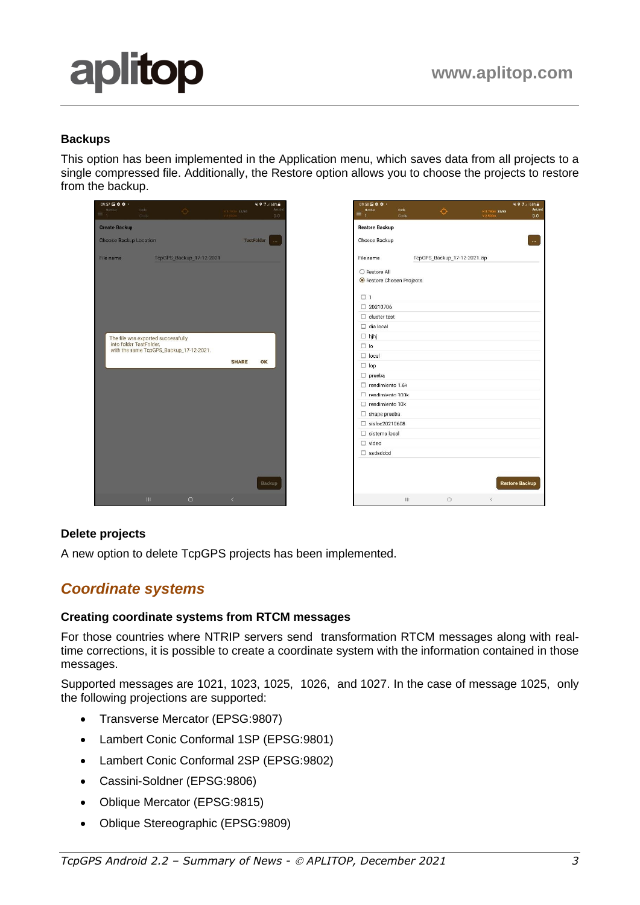**Restore Backup** 

 $\circ$ 

# aplitop

#### **Backups**

This option has been implemented in the Application menu, which saves data from all projects to a single compressed file. Additionally, the Restore option allows you to choose the projects to restore from the backup.



#### **Delete projects**

A new option to delete TcpGPS projects has been implemented.

## *Coordinate systems*

#### **Creating coordinate systems from RTCM messages**

For those countries where NTRIP servers send transformation RTCM messages along with realtime corrections, it is possible to create a coordinate system with the information contained in those messages.

Supported messages are 1021, 1023, 1025, 1026, and 1027. In the case of message 1025, only the following projections are supported:

- Transverse Mercator (EPSG:9807)
- Lambert Conic Conformal 1SP (EPSG:9801)
- Lambert Conic Conformal 2SP (EPSG:9802)
- Cassini-Soldner (EPSG:9806)
- Oblique Mercator (EPSG:9815)
- Oblique Stereographic (EPSG:9809)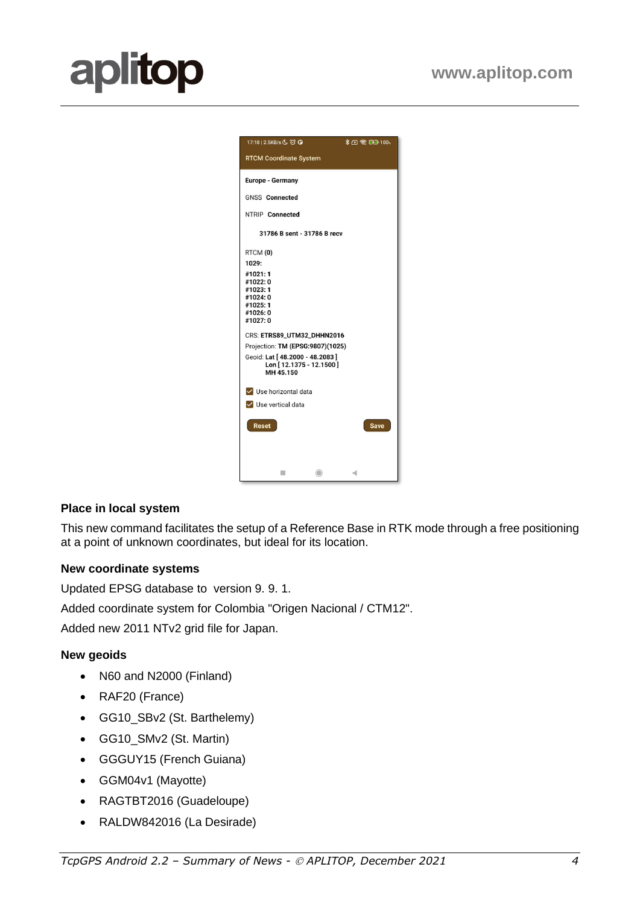| 17:18   2.5KB/s (5 13 13                                  | <b>↓ A 全国 100%</b> |
|-----------------------------------------------------------|--------------------|
| <b>RTCM Coordinate System</b>                             |                    |
|                                                           |                    |
| Europe - Germany                                          |                    |
| <b>GNSS Connected</b>                                     |                    |
| NTRIP Connected                                           |                    |
| 31786 B sent - 31786 B recv                               |                    |
| RTCM (0)                                                  |                    |
| 1029:                                                     |                    |
| #1021:1<br>#1022:0                                        |                    |
| #1023:1                                                   |                    |
| #1024:0<br>#1025:1                                        |                    |
| #1026:0                                                   |                    |
| #1027:0                                                   |                    |
| CRS: ETRS89_UTM32_DHHN2016                                |                    |
| Projection: TM (EPSG:9807)(1025)                          |                    |
| Geoid: Lat [48.2000 - 48.2083]<br>Lon [12.1375 - 12.1500] |                    |
| MH 45.150                                                 |                    |
| V Use horizontal data                                     |                    |
| V Use vertical data                                       |                    |
| <b>Reset</b>                                              | <b>Save</b>        |
|                                                           |                    |
|                                                           |                    |
|                                                           |                    |
| m<br>$\subset$                                            | ∢                  |

#### **Place in local system**

This new command facilitates the setup of a Reference Base in RTK mode through a free positioning at a point of unknown coordinates, but ideal for its location.

#### **New coordinate systems**

Updated EPSG database to version 9. 9. 1.

Added coordinate system for Colombia "Origen Nacional / CTM12".

Added new 2011 NTv2 grid file for Japan.

#### **New geoids**

- N60 and N2000 (Finland)
- RAF20 (France)
- GG10\_SBv2 (St. Barthelemy)
- GG10\_SMv2 (St. Martin)
- GGGUY15 (French Guiana)
- GGM04v1 (Mayotte)
- RAGTBT2016 (Guadeloupe)
- RALDW842016 (La Desirade)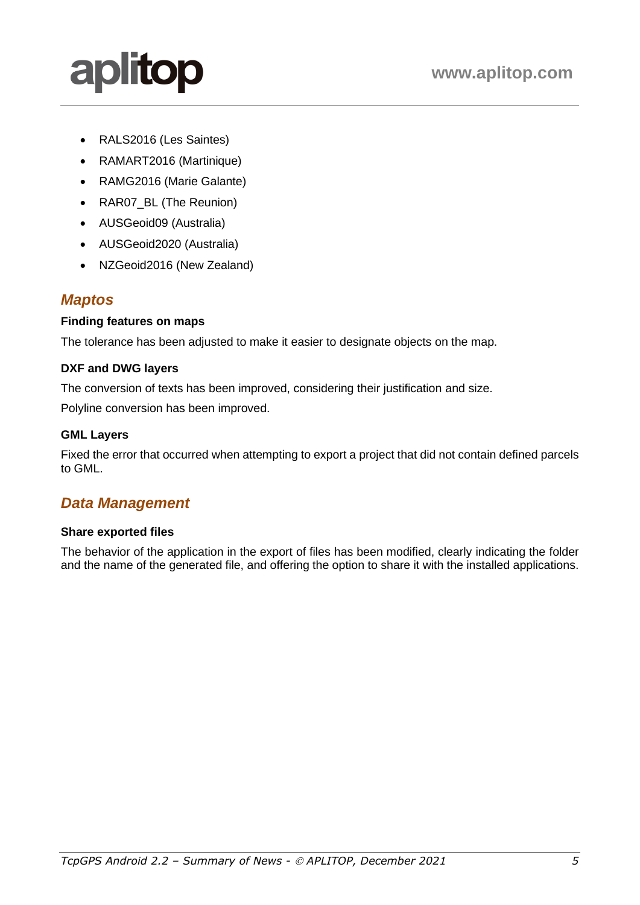• RALS2016 (Les Saintes)

aplitop

- RAMART2016 (Martinique)
- RAMG2016 (Marie Galante)
- RAR07 BL (The Reunion)
- AUSGeoid09 (Australia)
- AUSGeoid2020 (Australia)
- NZGeoid2016 (New Zealand)

### *Maptos*

#### **Finding features on maps**

The tolerance has been adjusted to make it easier to designate objects on the map.

#### **DXF and DWG layers**

The conversion of texts has been improved, considering their justification and size.

Polyline conversion has been improved.

#### **GML Layers**

Fixed the error that occurred when attempting to export a project that did not contain defined parcels to GML.

## *Data Management*

#### **Share exported files**

The behavior of the application in the export of files has been modified, clearly indicating the folder and the name of the generated file, and offering the option to share it with the installed applications.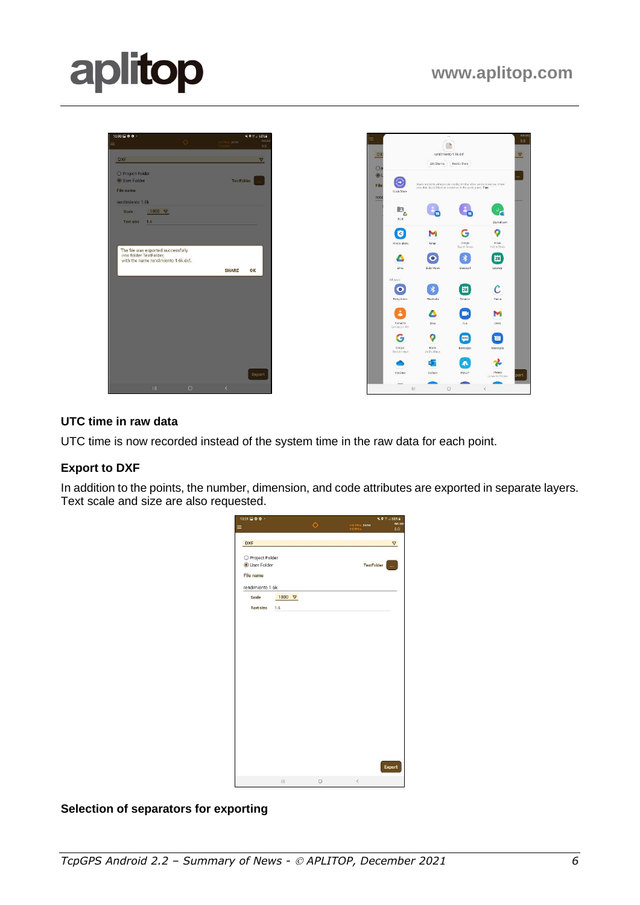

#### **UTC time in raw data**

UTC time is now recorded instead of the system time in the raw data for each point.

#### **Export to DXF**

In addition to the points, the number, dimension, and code attributes are exported in separate layers. Text scale and size are also requested.

| 10:01 $\Box$ $\Phi$ $\Phi$ $\cdot$ |               |                |                            | ¥ ● サン 68%章    |
|------------------------------------|---------------|----------------|----------------------------|----------------|
|                                    |               | $\ddot{\circ}$ | H 3.790m 23/34<br>V 2.500m | Ant.(m)<br>0.0 |
| <b>DXF</b>                         |               |                |                            | ▽              |
| O Project Folder<br>User Folder    |               |                | TestFolder                 | $\dddotsc$     |
| <b>File name</b>                   |               |                |                            |                |
| rendimiento 1.6k                   |               |                |                            |                |
| Scale                              | 1000 $\nabla$ |                |                            |                |
| <b>Text size</b>                   | 1.5           |                |                            |                |
|                                    |               |                |                            |                |
|                                    |               |                |                            |                |
|                                    |               |                |                            |                |
|                                    |               |                |                            |                |
|                                    |               |                |                            |                |
|                                    |               |                |                            |                |
|                                    |               |                |                            |                |
|                                    |               |                |                            |                |
|                                    |               |                |                            |                |
|                                    |               |                |                            |                |
|                                    |               |                |                            |                |
|                                    |               |                |                            |                |
|                                    |               |                |                            |                |
|                                    |               |                |                            |                |
|                                    |               |                |                            |                |
|                                    |               |                |                            |                |
|                                    |               |                |                            |                |
|                                    |               |                |                            | Export         |

#### **Selection of separators for exporting**